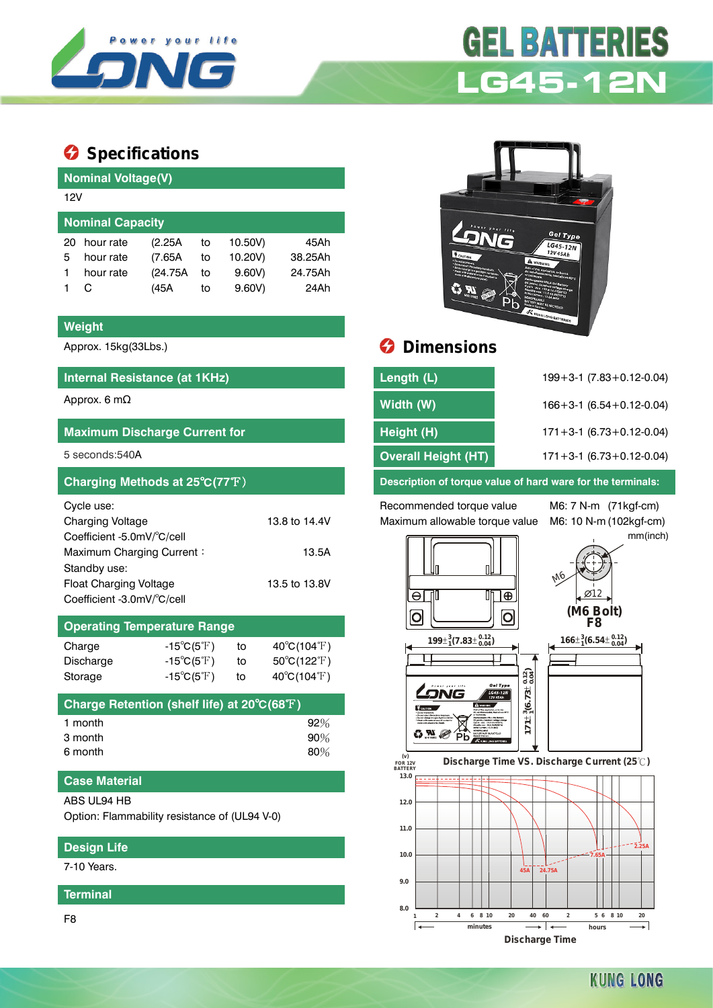

# **GEL BATTERIES LG45-12N**

# $\bullet$  Specifications

| <b>Nominal Voltage(V)</b> |          |      |         |         |  |  |  |
|---------------------------|----------|------|---------|---------|--|--|--|
| 12V                       |          |      |         |         |  |  |  |
| <b>Nominal Capacity</b>   |          |      |         |         |  |  |  |
| hour rate                 | (2.25A   | to   | 10.50V) | 45Ah    |  |  |  |
| hour rate                 | (7.65A)  | to   | 10.20V) | 38.25Ah |  |  |  |
| hour rate                 | (24.75A) | to   | 9.60V   | 24.75Ah |  |  |  |
|                           |          | to   | 9.60V   | 24Ah    |  |  |  |
|                           |          | (45A |         |         |  |  |  |

#### **Weight**

## **Internal Resistance (at 1KHz)**

| <b>Maximum Discharge Current for</b>                                                                                                                                     |                                         |
|--------------------------------------------------------------------------------------------------------------------------------------------------------------------------|-----------------------------------------|
| $5$ seconds: $540A$                                                                                                                                                      |                                         |
| Charging Methods at 25°C(77°F)                                                                                                                                           |                                         |
| Cycle use:<br><b>Charging Voltage</b><br>Coefficient -5.0mV/°C/cell<br>Maximum Charging Current:<br>Standby use:<br>Float Charging Voltage<br>Coefficient -3.0mV/°C/cell | 13.8 to 14.4V<br>13.5A<br>13.5 to 13.8V |
| <b>Operating Temperature Range</b>                                                                                                                                       |                                         |

| $-15^{\circ}C(5^{\circ}F)$       | to | $40^{\circ}C(104^{\circ}F)$      |  |  |  |
|----------------------------------|----|----------------------------------|--|--|--|
| -15 $^{\circ}$ C(5 $^{\circ}$ F) | to | $50^{\circ}$ C(122 $^{\circ}$ F) |  |  |  |
| $-15^{\circ}C(5^{\circ}F)$       | to | $40^{\circ}C(104^{\circ}F)$      |  |  |  |
|                                  |    |                                  |  |  |  |

| Charge Retention (shelf life) at 20°C(68°F) |        |
|---------------------------------------------|--------|
| 1 month                                     | $92\%$ |
| 3 month                                     | 90%    |
| 6 month                                     | 80%    |

### **Case Material**

ABS UL94 HB

Option: Flammability resistance of (UL94 V-0)

## **Design Life**

7-10 Years.

**Terminal**

F8



# Approx. 15kg(33Lbs.) **Dimensions**

| Internal Resistance (at 1KHz)        | Length (L)          | $199 + 3 - 1$ (7.83 + 0.12 - 0.04) |
|--------------------------------------|---------------------|------------------------------------|
| Approx. 6 m $\Omega$                 | Width (W)           | $166 + 3 - 1$ (6.54 + 0.12 - 0.04) |
| <b>Maximum Discharge Current for</b> | Height (H)          | $171 + 3 - 1$ (6.73 + 0.12 - 0.04) |
| 5 seconds:540A                       | Overall Height (HT) | $171 + 3 - 1$ (6.73 + 0.12 - 0.04) |
|                                      |                     |                                    |

**Description of torque value of hard ware for the terminals:** 

Recommended torque value M6: 7 N-m (71kgf-cm) Maximum allowable torque value M6: 10 N-m (102kgf-cm)

mm(inch)





**Discharge Time VS. Discharge Current (25 ℃)** 

é

 $C M$ 



 $\mathbf{r}$